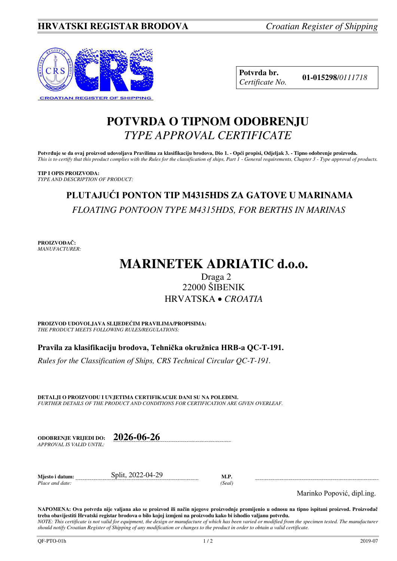

**Potvrda br. 01-015298**/*<sup>0111718</sup> Certificate No.* 

## **POTVRDA O TIPNOM ODOBRENJU**  *TYPE APPROVAL CERTIFICATE*

**Potvrđuje se da ovaj proizvod udovoljava Pravilima za klasifikaciju brodova, Dio 1. - Opći propisi, Odjeljak 3. - Tipno odobrenje proizvoda.**  *This is to certify that this product complies with the Rules for the classification of ships, Part 1 - General requirements, Chapter 3 - Type approval of products.* 

**TIP I OPIS PROIZVODA:** *TYPE AND DESCRIPTION OF PRODUCT:* 

# **PLUTAJUĆI PONTON TIP M4315HDS ZA GATOVE U MARINAMA**  *FLOATING PONTOON TYPE M4315HDS, FOR BERTHS IN MARINAS*

**PROIZVOĐAČ:** *MANUFACTURER:*

# **MARINETEK ADRIATIC d.o.o.**

### Draga 2 22000 ŠIBENIK HRVATSKA *CROATIA*

**PROIZVOD UDOVOLJAVA SLIJEDEĆIM PRAVILIMA/PROPISIMA:** *THE PRODUCT MEETS FOLLOWING RULES/REGULATIONS:* 

**Pravila za klasifikaciju brodova, Tehnička okružnica HRB-a QC-T-191.** 

*Rules for the Classification of Ships, CRS Technical Circular QC-T-191.*

**DETALJI O PROIZVODU I UVJETIMA CERTIFIKACIJE DANI SU NA POLEĐINI.** *FURTHER DETAILS OF THE PRODUCT AND CONDITIONS FOR CERTIFICATION ARE GIVEN OVERLEAF.* 

**ODOBRENJE VRIJEDI DO: 2026-06-26** *APPROVAL IS VALID UNTIL:*

**Mjesto i datum:** Split, 2022-04-29 **M.P.**  *Place and date: (Seal)* 

Marinko Popović, dipl.ing.

**NAPOMENA: Ova potvrda nije valjana ako se proizvod ili način njegove proizvodnje promijenio u odnosu na tipno ispitani proizvod. Proizvođač treba obavijestiti Hrvatski registar brodova o bilo kojoj izmjeni na proizvodu kako bi ishodio valjanu potvrdu.**  *NOTE: This certificate is not valid for equipment, the design or manufacture of which has been varied or modified from the specimen tested. The manufacturer* 

*should notify Croatian Register of Shipping of any modification or changes to the product in order to obtain a valid certificate.*